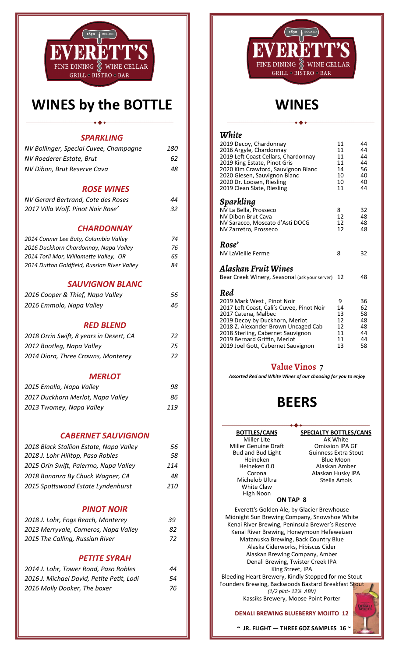

### **WINES by the BOTTLE**

| <i><b>SPARKLING</b></i>                     |            |
|---------------------------------------------|------------|
| NV Bollinger, Special Cuvee, Champagne      | <i>180</i> |
| NV Roederer Estate, Brut                    | 62         |
| NV Dibon, Brut Reserve Cava                 | 48         |
| <b>ROSE WINES</b>                           |            |
| NV Gerard Bertrand, Cote des Roses          | 44         |
| 2017 Villa Wolf. Pinot Noir Rose'           | 32         |
| <b>CHARDONNAY</b>                           |            |
| 2014 Conner Lee Buty, Columbia Valley       | 74         |
| 2016 Duckhorn Chardonnay, Napa Valley       | 76         |
| 2014 Torii Mor, Willamette Valley, OR       | 65         |
| 2014 Dutton Goldfield, Russian River Valley | 84         |
| <b>SAUVIGNON BLANC</b>                      |            |
| 2016 Cooper & Thief, Napa Valley            | 56         |
| 2016 Emmolo, Napa Valley                    | 46         |
| <b>RED BLEND</b>                            |            |
| 2018 Orrin Swift, 8 years in Desert, CA     | 72         |
| 2012 Bootleg, Napa Valley                   | 75         |
| 2014 Diora, Three Crowns, Monterey          | 72         |
| <b>MERLOT</b>                               |            |
| 2015 Emollo, Napa Valley                    | 98         |
| 2017 Duckhorn Merlot, Napa Valley           | 86         |
| 2013 Twomey, Napa Valley                    | 119        |
|                                             |            |

#### *CABERNET SAUVIGNON*

| 56  |
|-----|
| 58  |
| 114 |
| 48  |
| 210 |
|     |

#### *PINOT NOIR*

| 2018 J. Lohr, Fogs Reach, Monterey    | 39  |
|---------------------------------------|-----|
| 2013 Merryvale, Carneros, Napa Valley | 82. |
| 2015 The Calling, Russian River       | 72  |
|                                       |     |

#### *PETITE SYRAH*

| 2014 J. Lohr, Tower Road, Paso Robles     | 44 |
|-------------------------------------------|----|
| 2016 J. Michael David, Petite Petit, Lodi | 54 |
| 2016 Molly Dooker, The boxer              | 76 |



### **WINES**

### *White*

| 2019 Decoy, Chardonnay<br>2016 Argyle, Chardonnay<br>2019 Left Coast Cellars, Chardonnay<br>2019 King Estate, Pinot Gris<br>2020 Kim Crawford, Sauvignon Blanc<br>2020 Giesen, Sauvignon Blanc<br>2020 Dr. Loosen, Riesling<br>2019 Clean Slate, Riesling                                 | 11<br>11<br>11<br>11<br>14<br>10<br>10<br>11 | 44<br>44<br>44<br>44<br>56<br>40<br>40<br>44 |
|-------------------------------------------------------------------------------------------------------------------------------------------------------------------------------------------------------------------------------------------------------------------------------------------|----------------------------------------------|----------------------------------------------|
| Sparkling<br>NV La Bella, Prosseco<br>NV Dibon Brut Cava<br>NV Saracco, Moscato d'Asti DOCG<br>NV Zarretro, Prosseco                                                                                                                                                                      | 8<br>12<br>12<br>12                          | 32<br>48<br>48<br>48                         |
| Rose'<br>NV LaVieille Ferme                                                                                                                                                                                                                                                               | 8                                            | 32                                           |
| Alaskan Fruit Wines<br>Bear Creek Winery, Seasonal (ask your server)                                                                                                                                                                                                                      | 12                                           | 48                                           |
| Red<br>2019 Mark West, Pinot Noir<br>2017 Left Coast, Cali's Cuvee, Pinot Noir<br>2017 Catena, Malbec<br>2019 Decoy by Duckhorn, Merlot<br>2018 Z. Alexander Brown Uncaged Cab<br>2018 Sterling, Cabernet Sauvignon<br>2019 Bernard Griffin, Merlot<br>2019 Joel Gott, Cabernet Sauvignon | 9<br>14<br>13<br>12<br>12<br>11<br>11<br>13  | 36<br>62<br>58<br>48<br>48<br>44<br>44<br>58 |

#### **Value Vinos** 7

*Assorted Red and White Wines of our choosing for you to enjoy* 

### **BEERS**

#### **BOTTLES/CANS**

Miller Lite Miller Genuine Draft Bud and Bud Light Heineken Heineken 0.0 Corona Michelob Ultra White Claw High Noon

**SPECIALTY BOTTLES/CANS** 

AK White Omission IPA GF Guinness Extra Stout Blue Moon Alaskan Amber Alaskan Husky IPA Stella Artois

#### **ON TAP 8**

EvereƩ's Golden Ale, by Glacier Brewhouse Midnight Sun Brewing Company, Snowshoe White Kenai River Brewing, Peninsula Brewer's Reserve Kenai River Brewing, Honeymoon Hefeweizen Matanuska Brewing, Back Country Blue Alaska Ciderworks, Hibiscus Cider Alaskan Brewing Company, Amber Denali Brewing, Twister Creek IPA King Street, IPA

Bleeding Heart Brewery, Kindly Stopped for me Stout Founders Brewing, Backwoods Bastard Breakfast Stout *(1/2 pint‐ 12% ABV)*  Kassiks Brewery, Moose Point Porter

#### **DENALI BREWING BLUEBERRY MOJITO 12**

 **~ JR. FLIGHT — THREE 6OZ SAMPLES 16 ~**